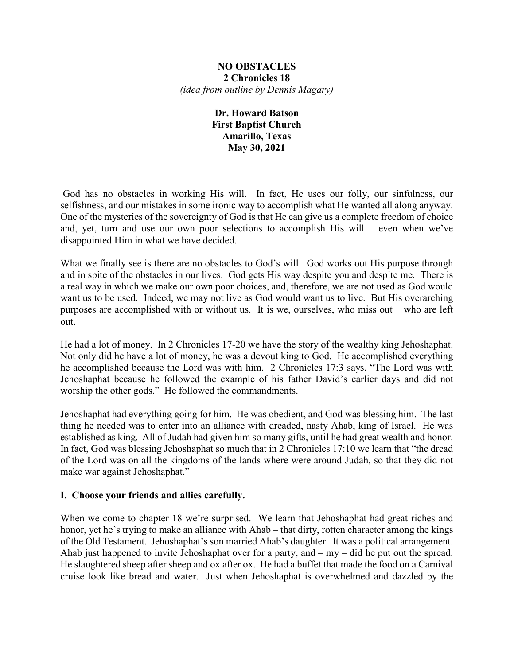#### **NO OBSTACLES 2 Chronicles 18** *(idea from outline by Dennis Magary)*

# **Dr. Howard Batson First Baptist Church Amarillo, Texas May 30, 2021**

God has no obstacles in working His will. In fact, He uses our folly, our sinfulness, our selfishness, and our mistakes in some ironic way to accomplish what He wanted all along anyway. One of the mysteries of the sovereignty of God is that He can give us a complete freedom of choice and, yet, turn and use our own poor selections to accomplish His will – even when we've disappointed Him in what we have decided.

What we finally see is there are no obstacles to God's will. God works out His purpose through and in spite of the obstacles in our lives. God gets His way despite you and despite me. There is a real way in which we make our own poor choices, and, therefore, we are not used as God would want us to be used. Indeed, we may not live as God would want us to live. But His overarching purposes are accomplished with or without us. It is we, ourselves, who miss out – who are left out.

He had a lot of money. In 2 Chronicles 17-20 we have the story of the wealthy king Jehoshaphat. Not only did he have a lot of money, he was a devout king to God. He accomplished everything he accomplished because the Lord was with him. 2 Chronicles 17:3 says, "The Lord was with Jehoshaphat because he followed the example of his father David's earlier days and did not worship the other gods." He followed the commandments.

Jehoshaphat had everything going for him. He was obedient, and God was blessing him. The last thing he needed was to enter into an alliance with dreaded, nasty Ahab, king of Israel. He was established as king. All of Judah had given him so many gifts, until he had great wealth and honor. In fact, God was blessing Jehoshaphat so much that in 2 Chronicles 17:10 we learn that "the dread of the Lord was on all the kingdoms of the lands where were around Judah, so that they did not make war against Jehoshaphat."

# **I. Choose your friends and allies carefully.**

When we come to chapter 18 we're surprised. We learn that Jehoshaphat had great riches and honor, yet he's trying to make an alliance with Ahab – that dirty, rotten character among the kings of the Old Testament. Jehoshaphat's son married Ahab's daughter. It was a political arrangement. Ahab just happened to invite Jehoshaphat over for a party, and  $-$  my  $-$  did he put out the spread. He slaughtered sheep after sheep and ox after ox. He had a buffet that made the food on a Carnival cruise look like bread and water. Just when Jehoshaphat is overwhelmed and dazzled by the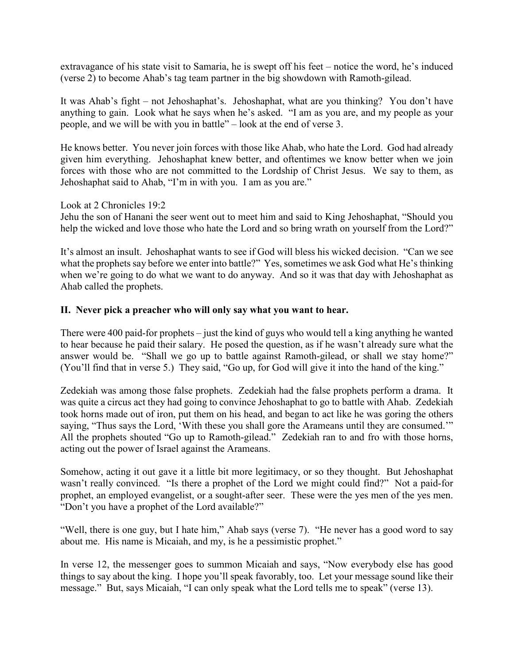extravagance of his state visit to Samaria, he is swept off his feet – notice the word, he's induced (verse 2) to become Ahab's tag team partner in the big showdown with Ramoth-gilead.

It was Ahab's fight – not Jehoshaphat's. Jehoshaphat, what are you thinking? You don't have anything to gain. Look what he says when he's asked. "I am as you are, and my people as your people, and we will be with you in battle" – look at the end of verse 3.

He knows better. You never join forces with those like Ahab, who hate the Lord. God had already given him everything. Jehoshaphat knew better, and oftentimes we know better when we join forces with those who are not committed to the Lordship of Christ Jesus. We say to them, as Jehoshaphat said to Ahab, "I'm in with you. I am as you are."

Look at 2 Chronicles 19:2

Jehu the son of Hanani the seer went out to meet him and said to King Jehoshaphat, "Should you help the wicked and love those who hate the Lord and so bring wrath on yourself from the Lord?"

It's almost an insult. Jehoshaphat wants to see if God will bless his wicked decision. "Can we see what the prophets say before we enter into battle?" Yes, sometimes we ask God what He's thinking when we're going to do what we want to do anyway. And so it was that day with Jehoshaphat as Ahab called the prophets.

### **II. Never pick a preacher who will only say what you want to hear.**

There were 400 paid-for prophets – just the kind of guys who would tell a king anything he wanted to hear because he paid their salary. He posed the question, as if he wasn't already sure what the answer would be. "Shall we go up to battle against Ramoth-gilead, or shall we stay home?" (You'll find that in verse 5.) They said, "Go up, for God will give it into the hand of the king."

Zedekiah was among those false prophets. Zedekiah had the false prophets perform a drama. It was quite a circus act they had going to convince Jehoshaphat to go to battle with Ahab. Zedekiah took horns made out of iron, put them on his head, and began to act like he was goring the others saying, "Thus says the Lord, 'With these you shall gore the Arameans until they are consumed.'" All the prophets shouted "Go up to Ramoth-gilead." Zedekiah ran to and fro with those horns, acting out the power of Israel against the Arameans.

Somehow, acting it out gave it a little bit more legitimacy, or so they thought. But Jehoshaphat wasn't really convinced. "Is there a prophet of the Lord we might could find?" Not a paid-for prophet, an employed evangelist, or a sought-after seer. These were the yes men of the yes men. "Don't you have a prophet of the Lord available?"

"Well, there is one guy, but I hate him," Ahab says (verse 7). "He never has a good word to say about me. His name is Micaiah, and my, is he a pessimistic prophet."

In verse 12, the messenger goes to summon Micaiah and says, "Now everybody else has good things to say about the king. I hope you'll speak favorably, too. Let your message sound like their message." But, says Micaiah, "I can only speak what the Lord tells me to speak" (verse 13).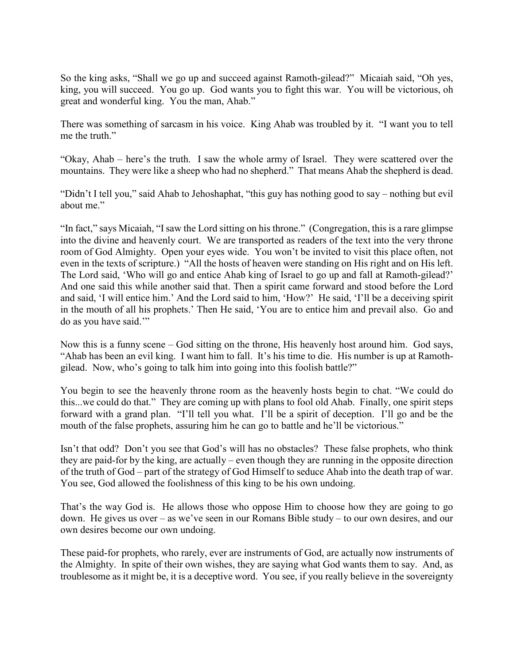So the king asks, "Shall we go up and succeed against Ramoth-gilead?" Micaiah said, "Oh yes, king, you will succeed. You go up. God wants you to fight this war. You will be victorious, oh great and wonderful king. You the man, Ahab."

There was something of sarcasm in his voice. King Ahab was troubled by it. "I want you to tell me the truth."

"Okay, Ahab – here's the truth. I saw the whole army of Israel. They were scattered over the mountains. They were like a sheep who had no shepherd." That means Ahab the shepherd is dead.

"Didn't I tell you," said Ahab to Jehoshaphat, "this guy has nothing good to say – nothing but evil about me."

"In fact," says Micaiah, "I saw the Lord sitting on his throne." (Congregation, this is a rare glimpse into the divine and heavenly court. We are transported as readers of the text into the very throne room of God Almighty. Open your eyes wide. You won't be invited to visit this place often, not even in the texts of scripture.) "All the hosts of heaven were standing on His right and on His left. The Lord said, 'Who will go and entice Ahab king of Israel to go up and fall at Ramoth-gilead?' And one said this while another said that. Then a spirit came forward and stood before the Lord and said, 'I will entice him.' And the Lord said to him, 'How?' He said, 'I'll be a deceiving spirit in the mouth of all his prophets.' Then He said, 'You are to entice him and prevail also. Go and do as you have said.'"

Now this is a funny scene – God sitting on the throne, His heavenly host around him. God says, "Ahab has been an evil king. I want him to fall. It's his time to die. His number is up at Ramothgilead. Now, who's going to talk him into going into this foolish battle?"

You begin to see the heavenly throne room as the heavenly hosts begin to chat. "We could do this...we could do that." They are coming up with plans to fool old Ahab. Finally, one spirit steps forward with a grand plan. "I'll tell you what. I'll be a spirit of deception. I'll go and be the mouth of the false prophets, assuring him he can go to battle and he'll be victorious."

Isn't that odd? Don't you see that God's will has no obstacles? These false prophets, who think they are paid-for by the king, are actually – even though they are running in the opposite direction of the truth of God – part of the strategy of God Himself to seduce Ahab into the death trap of war. You see, God allowed the foolishness of this king to be his own undoing.

That's the way God is. He allows those who oppose Him to choose how they are going to go down. He gives us over – as we've seen in our Romans Bible study – to our own desires, and our own desires become our own undoing.

These paid-for prophets, who rarely, ever are instruments of God, are actually now instruments of the Almighty. In spite of their own wishes, they are saying what God wants them to say. And, as troublesome as it might be, it is a deceptive word. You see, if you really believe in the sovereignty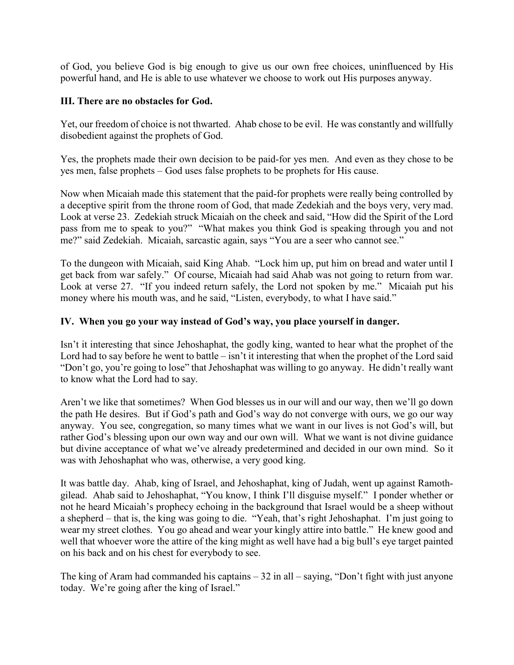of God, you believe God is big enough to give us our own free choices, uninfluenced by His powerful hand, and He is able to use whatever we choose to work out His purposes anyway.

### **III. There are no obstacles for God.**

Yet, our freedom of choice is not thwarted. Ahab chose to be evil. He was constantly and willfully disobedient against the prophets of God.

Yes, the prophets made their own decision to be paid-for yes men. And even as they chose to be yes men, false prophets – God uses false prophets to be prophets for His cause.

Now when Micaiah made this statement that the paid-for prophets were really being controlled by a deceptive spirit from the throne room of God, that made Zedekiah and the boys very, very mad. Look at verse 23. Zedekiah struck Micaiah on the cheek and said, "How did the Spirit of the Lord pass from me to speak to you?" "What makes you think God is speaking through you and not me?" said Zedekiah. Micaiah, sarcastic again, says "You are a seer who cannot see."

To the dungeon with Micaiah, said King Ahab. "Lock him up, put him on bread and water until I get back from war safely." Of course, Micaiah had said Ahab was not going to return from war. Look at verse 27. "If you indeed return safely, the Lord not spoken by me." Micaiah put his money where his mouth was, and he said, "Listen, everybody, to what I have said."

# **IV. When you go your way instead of God's way, you place yourself in danger.**

Isn't it interesting that since Jehoshaphat, the godly king, wanted to hear what the prophet of the Lord had to say before he went to battle – isn't it interesting that when the prophet of the Lord said "Don't go, you're going to lose" that Jehoshaphat was willing to go anyway. He didn't really want to know what the Lord had to say.

Aren't we like that sometimes? When God blesses us in our will and our way, then we'll go down the path He desires. But if God's path and God's way do not converge with ours, we go our way anyway. You see, congregation, so many times what we want in our lives is not God's will, but rather God's blessing upon our own way and our own will. What we want is not divine guidance but divine acceptance of what we've already predetermined and decided in our own mind. So it was with Jehoshaphat who was, otherwise, a very good king.

It was battle day. Ahab, king of Israel, and Jehoshaphat, king of Judah, went up against Ramothgilead. Ahab said to Jehoshaphat, "You know, I think I'll disguise myself." I ponder whether or not he heard Micaiah's prophecy echoing in the background that Israel would be a sheep without a shepherd – that is, the king was going to die. "Yeah, that's right Jehoshaphat. I'm just going to wear my street clothes. You go ahead and wear your kingly attire into battle." He knew good and well that whoever wore the attire of the king might as well have had a big bull's eye target painted on his back and on his chest for everybody to see.

The king of Aram had commanded his captains  $-32$  in all  $-$  saying, "Don't fight with just anyone today. We're going after the king of Israel."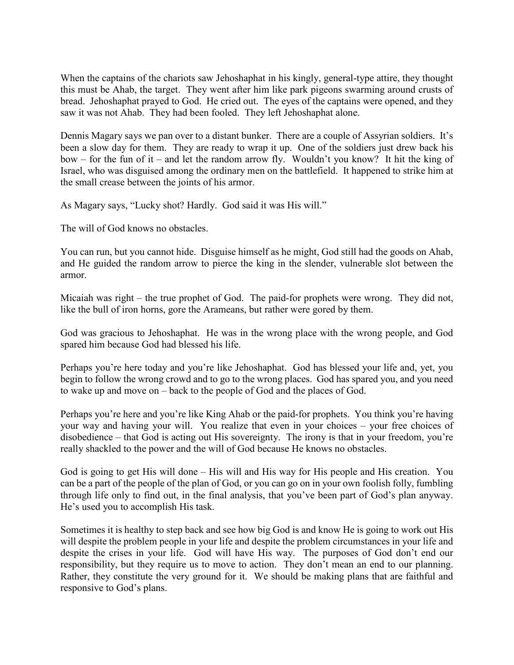When the captains of the chariots saw Jehoshaphat in his kingly, general-type attire, they thought this must be Ahab, the target. They went after him like park pigeons swarming around crusts of bread. Jehoshaphat prayed to God. He cried out. The eyes of the captains were opened, and they saw it was not Ahab. They had been fooled. They left Jehoshaphat alone.

Dennis Magary says we pan over to a distant bunker. There are a couple of Assyrian soldiers. It's been a slow day for them. They are ready to wrap it up. One of the soldiers just drew back his bow – for the fun of it – and let the random arrow fly. Wouldn't you know? It hit the king of Israel, who was disguised among the ordinary men on the battlefield. It happened to strike him at the small crease between the joints of his armor.

As Magary says, "Lucky shot? Hardly. God said it was His will."

The will of God knows no obstacles.

You can run, but you cannot hide. Disguise himself as he might, God still had the goods on Ahab, and He guided the random arrow to pierce the king in the slender, vulnerable slot between the armor.

Micaiah was right – the true prophet of God. The paid-for prophets were wrong. They did not, like the bull of iron horns, gore the Arameans, but rather were gored by them.

God was gracious to Jehoshaphat. He was in the wrong place with the wrong people, and God spared him because God had blessed his life.

Perhaps you're here today and you're like Jehoshaphat. God has blessed your life and, yet, you begin to follow the wrong crowd and to go to the wrong places. God has spared you, and you need to wake up and move on – back to the people of God and the places of God.

Perhaps you're here and you're like King Ahab or the paid-for prophets. You think you're having your way and having your will. You realize that even in your choices – your free choices of disobedience – that God is acting out His sovereignty. The irony is that in your freedom, you're really shackled to the power and the will of God because He knows no obstacles.

God is going to get His will done – His will and His way for His people and His creation. You can be a part of the people of the plan of God, or you can go on in your own foolish folly, fumbling through life only to find out, in the final analysis, that you've been part of God's plan anyway. He's used you to accomplish His task.

Sometimes it is healthy to step back and see how big God is and know He is going to work out His will despite the problem people in your life and despite the problem circumstances in your life and despite the crises in your life. God will have His way. The purposes of God don't end our responsibility, but they require us to move to action. They don't mean an end to our planning. Rather, they constitute the very ground for it. We should be making plans that are faithful and responsive to God's plans.